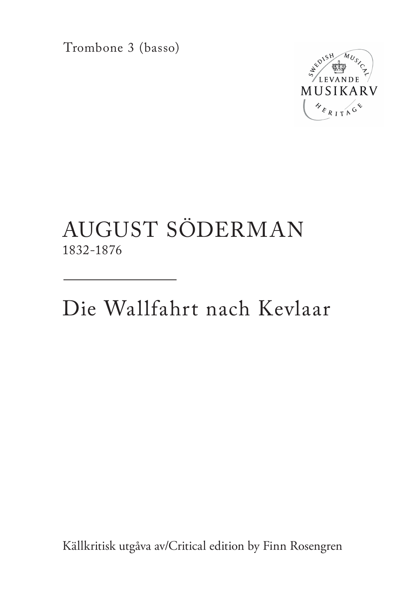Trombone 3 (basso)



## AUGUST SÖDERMAN 1832-1876

Die Wallfahrt nach Kevlaar

Källkritisk utgåva av/Critical edition by Finn Rosengren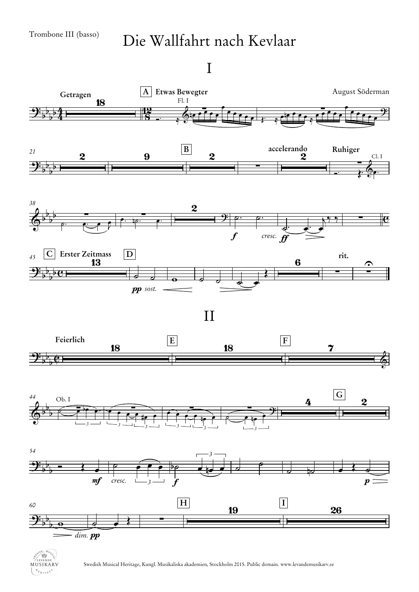## Die Wallfahrt nach Kevlaar

I